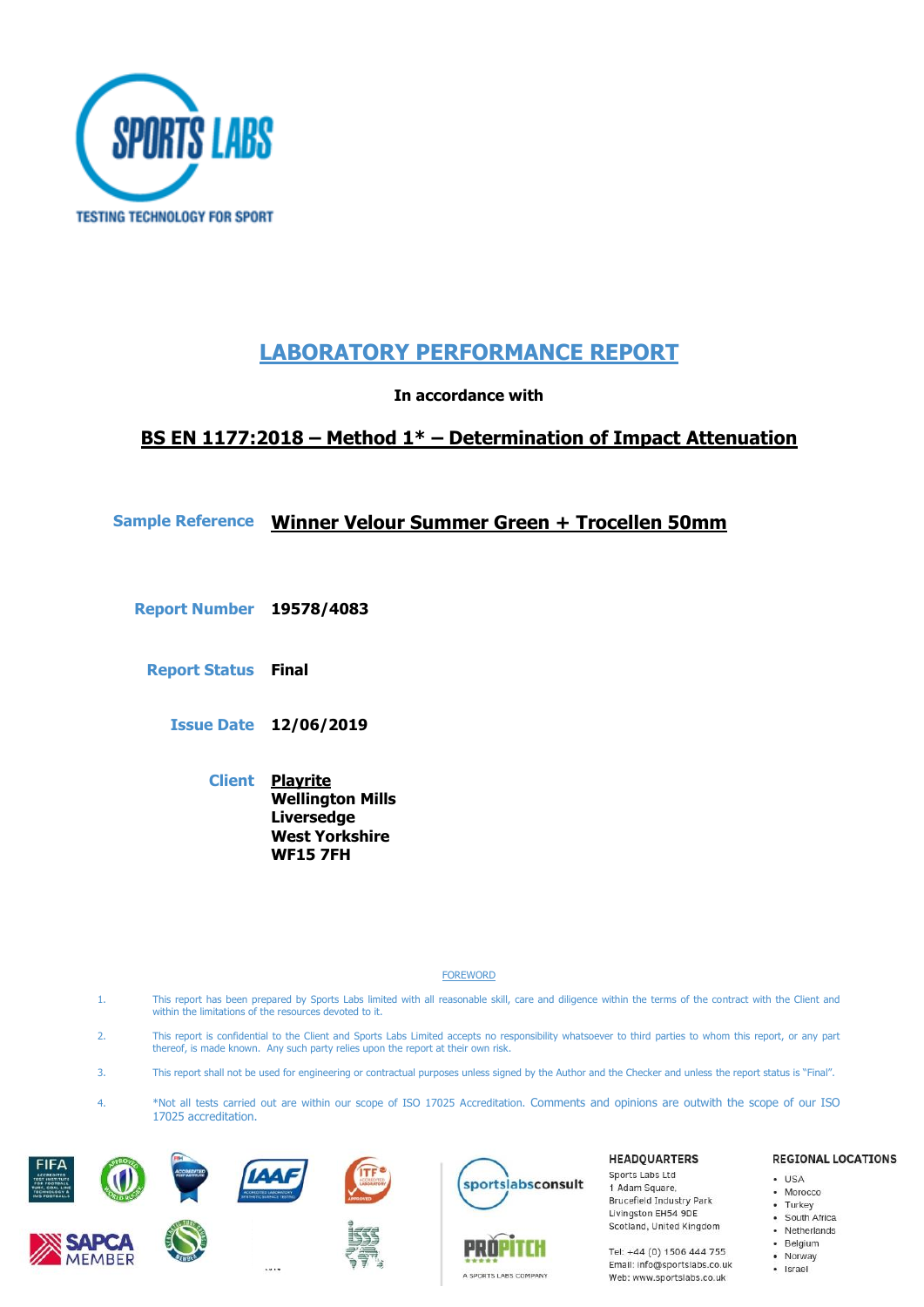

# **LABORATORY PERFORMANCE REPORT**

**In accordance with** 

# **BS EN 1177:2018 – Method 1\* – Determination of Impact Attenuation**

# **Sample Reference Winner Velour Summer Green + Trocellen 50mm**

**Report Number 19578/4083**

**Report Status Final**

**Issue Date 12/06/2019**

**Client Playrite Wellington Mills Liversedge West Yorkshire WF15 7FH**

**FOREWORD** 

- 1. This report has been prepared by Sports Labs limited with all reasonable skill, care and diligence within the terms of the contract with the Client and within the limitations of the resources devoted to it.
- 2. This report is confidential to the Client and Sports Labs Limited accepts no responsibility whatsoever to third parties to whom this report, or any part thereof, is made known. Any such party relies upon the report at their own risk.
- 3. This report shall not be used for engineering or contractual purposes unless signed by the Author and the Checker and unless the report status is "Final".
- 4. \*Not all tests carried out are within our scope of ISO 17025 Accreditation. Comments and opinions are outwith the scope of our ISO 17025 accreditation.











PROPI

A SPORTS LABS COMPANY

#### **HEADQUARTERS**

Sports Labs Ltd 1 Adam Square, Brucefield Industry Park Livingston EH54 9DE Scotland, United Kingdom

Tel: +44 (0) 1506 444 755 Email: info@sportslabs.co.uk Web: www.sportslabs.co.uk

#### **REGIONAL LOCATIONS**

- $-1$ ISA · Morocco
- 
- Turkey<br>• South Africa
	-
- Netherlands
- · Belgium
- Norway
- · Israel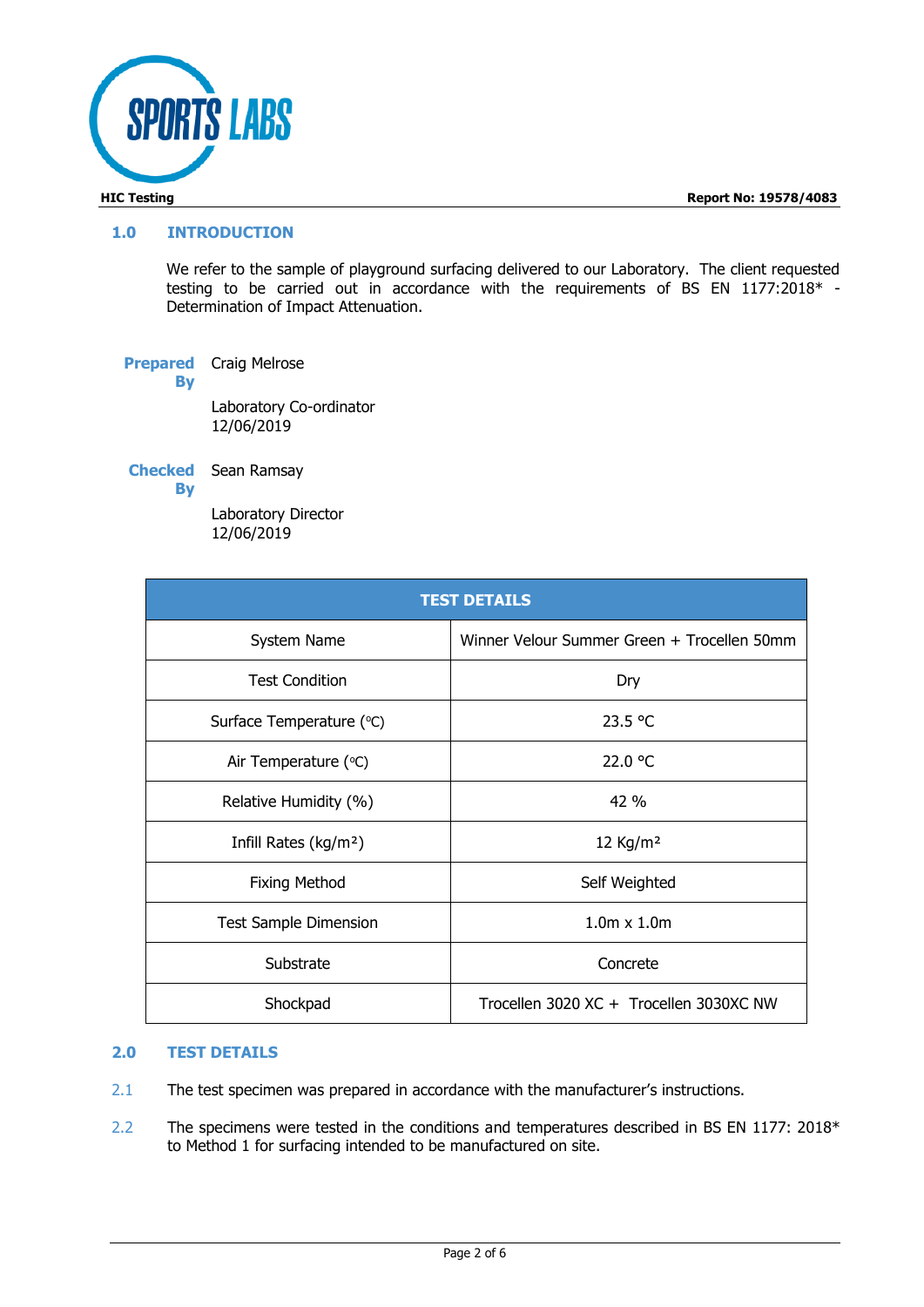

#### **1.0 INTRODUCTION**

We refer to the sample of playground surfacing delivered to our Laboratory. The client requested testing to be carried out in accordance with the requirements of BS EN 1177:2018\* - Determination of Impact Attenuation.

**Prepared By** Craig Melrose Laboratory Co-ordinator 12/06/2019

**Checked**  Sean Ramsay **By**

> Laboratory Director 12/06/2019

| <b>TEST DETAILS</b>               |                                             |  |  |  |
|-----------------------------------|---------------------------------------------|--|--|--|
| System Name                       | Winner Velour Summer Green + Trocellen 50mm |  |  |  |
| <b>Test Condition</b>             | Dry                                         |  |  |  |
| Surface Temperature (°C)          | 23.5 °C                                     |  |  |  |
| Air Temperature (°C)              | 22.0 °C                                     |  |  |  |
| Relative Humidity (%)             | 42%                                         |  |  |  |
| Infill Rates (kg/m <sup>2</sup> ) | $12$ Kg/m <sup>2</sup>                      |  |  |  |
| <b>Fixing Method</b>              | Self Weighted                               |  |  |  |
| <b>Test Sample Dimension</b>      | $1.0m \times 1.0m$                          |  |  |  |
| Substrate                         | Concrete                                    |  |  |  |
| Shockpad                          | Trocellen 3020 XC + Trocellen 3030XC NW     |  |  |  |

### **2.0 TEST DETAILS**

- 2.1 The test specimen was prepared in accordance with the manufacturer's instructions.
- 2.2 The specimens were tested in the conditions and temperatures described in BS EN 1177: 2018\* to Method 1 for surfacing intended to be manufactured on site.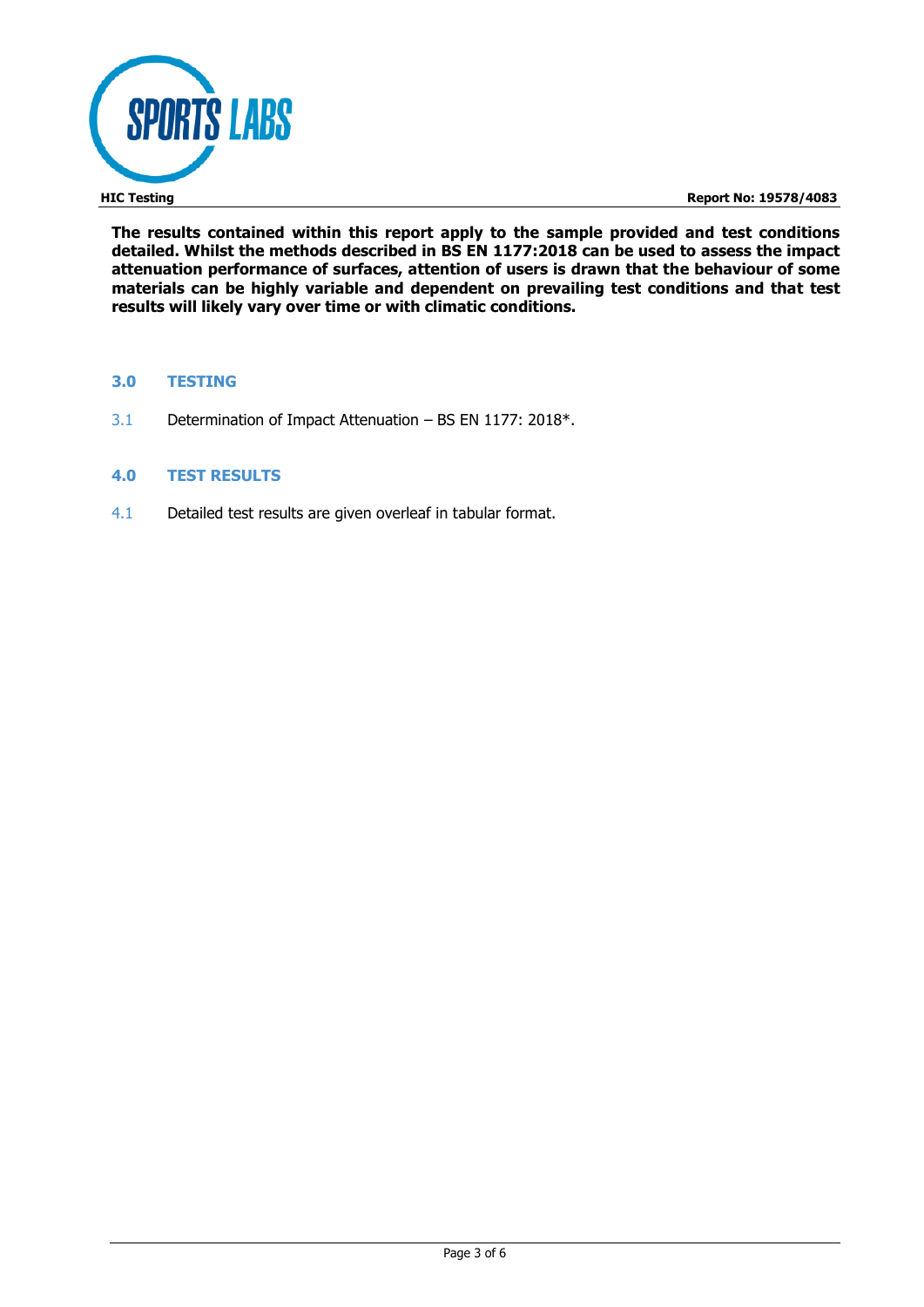

**HIC Testing Report No: 19578/4083**

**The results contained within this report apply to the sample provided and test conditions detailed. Whilst the methods described in BS EN 1177:2018 can be used to assess the impact attenuation performance of surfaces, attention of users is drawn that the behaviour of some materials can be highly variable and dependent on prevailing test conditions and that test results will likely vary over time or with climatic conditions.**

### **3.0 TESTING**

3.1 Determination of Impact Attenuation – BS EN 1177: 2018\*.

### **4.0 TEST RESULTS**

4.1 Detailed test results are given overleaf in tabular format.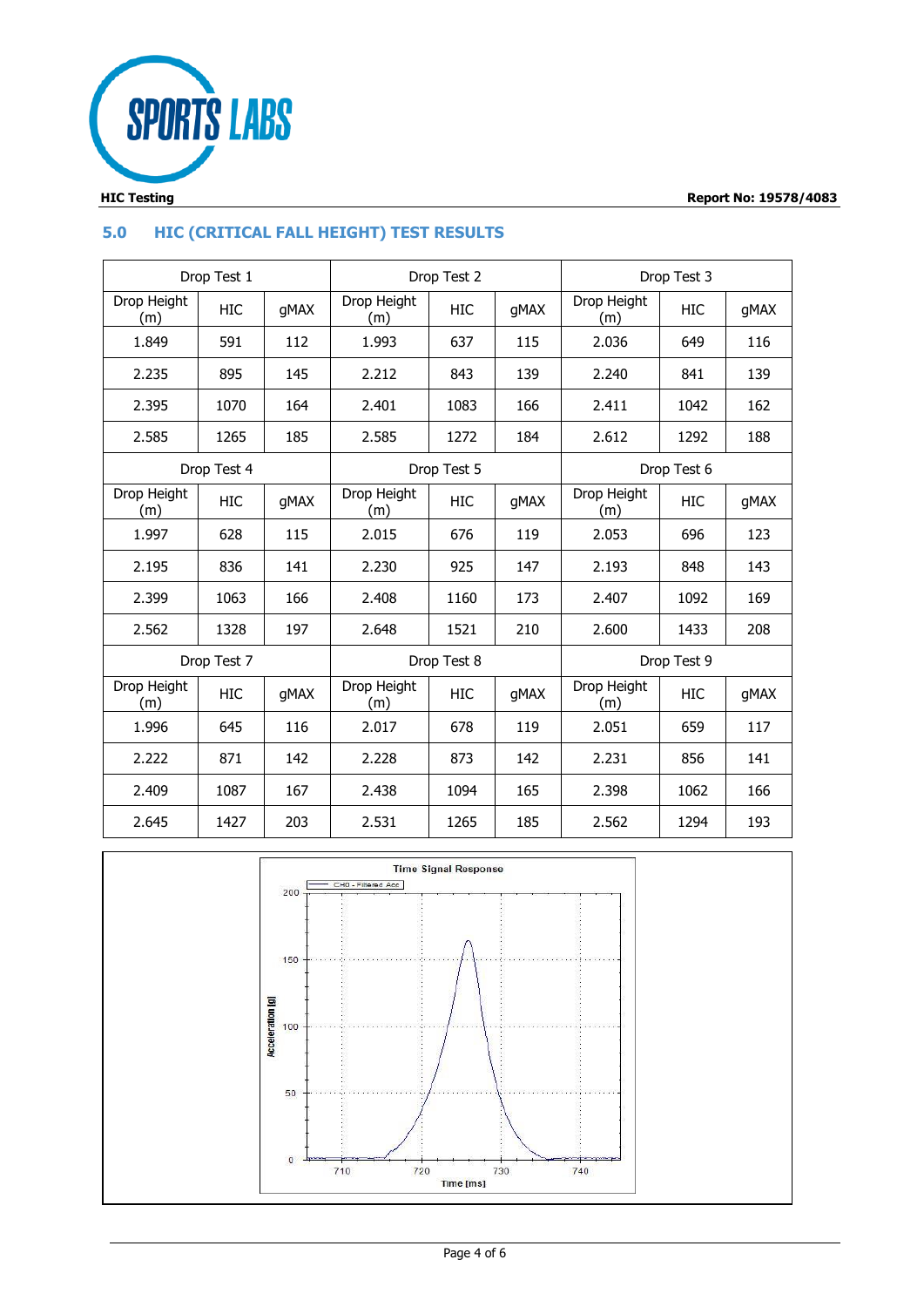

# **5.0 HIC (CRITICAL FALL HEIGHT) TEST RESULTS**

| Drop Test 1                |             | Drop Test 2 |                    | Drop Test 3 |             |                    |      |      |
|----------------------------|-------------|-------------|--------------------|-------------|-------------|--------------------|------|------|
| Drop Height<br>(m)         | HIC         | qMAX        | Drop Height<br>(m) | <b>HIC</b>  | gMAX        | Drop Height<br>(m) | HIC  | gMAX |
| 1.849                      | 591         | 112         | 1.993              | 637         | 115         | 2.036              | 649  | 116  |
| 2.235                      | 895         | 145         | 2.212              | 843         | 139         | 2.240              | 841  | 139  |
| 2.395                      | 1070        | 164         | 2.401              | 1083        | 166         | 2.411              | 1042 | 162  |
| 2.585                      | 1265        | 185         | 2.585              | 1272        | 184         | 2.612              | 1292 | 188  |
| Drop Test 4<br>Drop Test 5 |             |             |                    | Drop Test 6 |             |                    |      |      |
| Drop Height<br>(m)         | <b>HIC</b>  | qMAX        | Drop Height<br>(m) | HIC         | gMAX        | Drop Height<br>(m) | HIC  | gMAX |
| 1.997                      | 628         | 115         | 2.015              | 676         | 119         | 2.053              | 696  | 123  |
| 2.195                      | 836         | 141         | 2.230              | 925         | 147         | 2.193              | 848  | 143  |
| 2.399                      | 1063        | 166         | 2.408              | 1160        | 173         | 2.407              | 1092 | 169  |
| 2.562                      | 1328        | 197         | 2.648              | 1521        | 210         | 2.600              | 1433 | 208  |
|                            | Drop Test 7 |             | Drop Test 8        |             | Drop Test 9 |                    |      |      |
| Drop Height<br>(m)         | HIC         | qMAX        | Drop Height<br>(m) | HIC         | qMAX        | Drop Height<br>(m) | HIC  | qMAX |
| 1.996                      | 645         | 116         | 2.017              | 678         | 119         | 2.051              | 659  | 117  |
| 2.222                      | 871         | 142         | 2.228              | 873         | 142         | 2.231              | 856  | 141  |
| 2.409                      | 1087        | 167         | 2.438              | 1094        | 165         | 2.398              | 1062 | 166  |
| 2.645                      | 1427        | 203         | 2.531              | 1265        | 185         | 2.562              | 1294 | 193  |

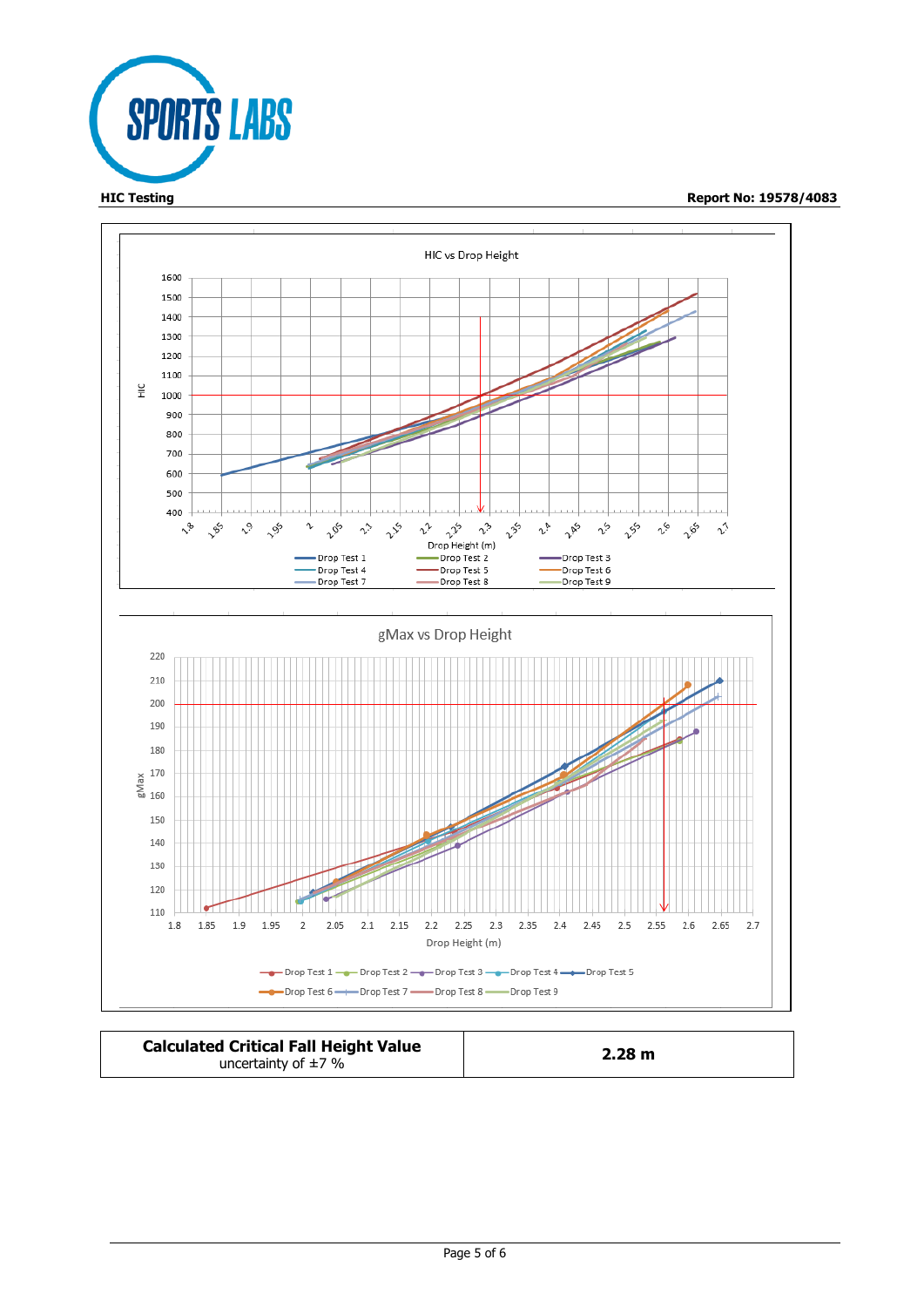



| <b>Calculated Critical Fall Height Value</b> | 2.28 m |  |
|----------------------------------------------|--------|--|
| uncertainty of $\pm$ 7 %                     |        |  |